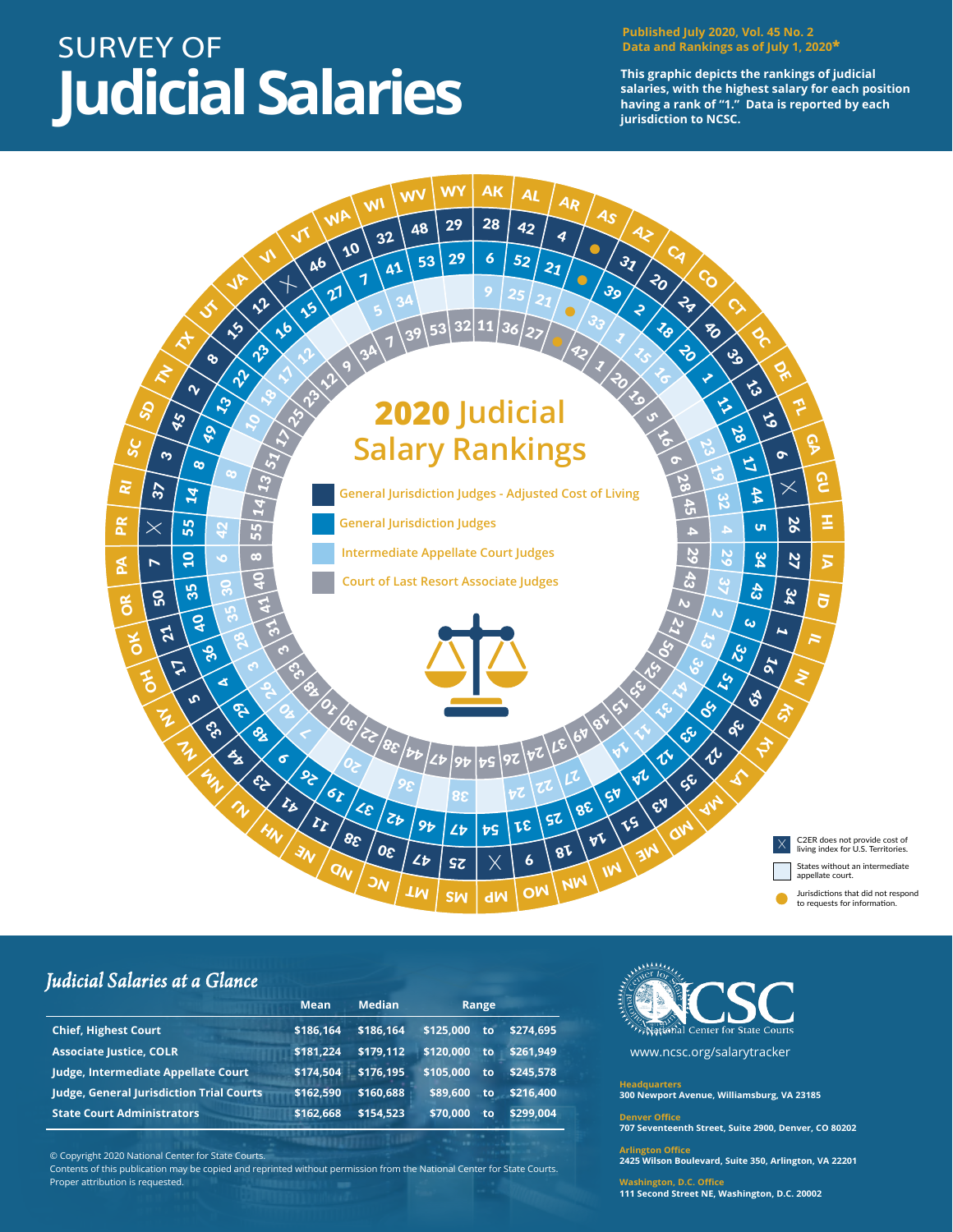## SURVEY OF **Judicial Salaries**

**Published July 2020, Vol. 45 No. 2 Data and Rankings as of July 1, 2020\***

**This graphic depicts the rankings of judicial salaries, with the highest salary for each position having a rank of "1." Data is reported by each jurisdiction to NCSC.**



## *Judicial Salaries at a Glance*

|                                          | <b>Mean</b> | <b>Median</b> | Range            |           |  |  |
|------------------------------------------|-------------|---------------|------------------|-----------|--|--|
| <b>Chief, Highest Court</b>              | \$186.164   | \$186.164     | \$125.000<br>to. | \$274.695 |  |  |
| <b>Associate Justice, COLR</b>           | \$181.224   | \$179.112     | \$120.000<br>to  | \$261.949 |  |  |
| Judge, Intermediate Appellate Court      | \$174.504   | \$176.195     | \$105.000<br>to  | \$245.578 |  |  |
| Judge, General Jurisdiction Trial Courts | \$162.590   | \$160.688     | \$89,600<br>to   | \$216.400 |  |  |
| <b>State Court Administrators</b>        | \$162,668   | \$154.523     | \$70,000<br>to   | \$299.004 |  |  |

© Copyright 2020 National Center for State Courts. Contents of this publication may be copied and reprinted without permission from the National Center for State Courts. Proper attribution is requested.

Center for State Courts

www.ncsc.org/salarytracker

**Headquarters 300 Newport Avenue, Williamsburg, VA 23185**

## **ver Office**

**707 Seventeenth Street, Suite 2900, Denver, CO 80202**

**Argele Office 2425 Wilson Boulevard, Suite 350, Arlington, VA 22201**

**Washington, D.C. Office 111 Second Street NE, Washington, D.C. 20002**